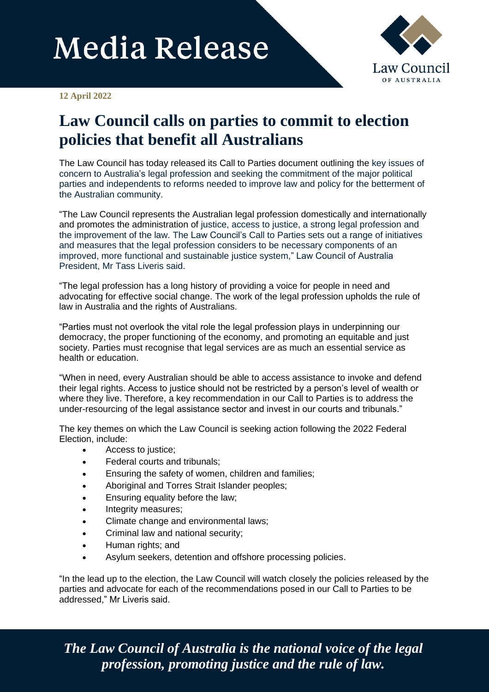## **Media Release**



## **12 April 2022**

## **Law Council calls on parties to commit to election policies that benefit all Australians**

The Law Council has today released its Call to Parties document outlining the key issues of concern to Australia's legal profession and seeking the commitment of the major political parties and independents to reforms needed to improve law and policy for the betterment of the Australian community.

"The Law Council represents the Australian legal profession domestically and internationally and promotes the administration of justice, access to justice, a strong legal profession and the improvement of the law. The Law Council's Call to Parties sets out a range of initiatives and measures that the legal profession considers to be necessary components of an improved, more functional and sustainable justice system," Law Council of Australia President, Mr Tass Liveris said.

"The legal profession has a long history of providing a voice for people in need and advocating for effective social change. The work of the legal profession upholds the rule of law in Australia and the rights of Australians.

"Parties must not overlook the vital role the legal profession plays in underpinning our democracy, the proper functioning of the economy, and promoting an equitable and just society. Parties must recognise that legal services are as much an essential service as health or education.

"When in need, every Australian should be able to access assistance to invoke and defend their legal rights. Access to justice should not be restricted by a person's level of wealth or where they live. Therefore, a key recommendation in our Call to Parties is to address the under-resourcing of the legal assistance sector and invest in our courts and tribunals."

The key themes on which the Law Council is seeking action following the 2022 Federal Election, include:

- Access to justice;
- Federal courts and tribunals;
- Ensuring the safety of women, children and families;
- Aboriginal and Torres Strait Islander peoples;
- Ensuring equality before the law;
- Integrity measures;
- Climate change and environmental laws;
- Criminal law and national security;
- Human rights; and
- Asylum seekers, detention and offshore processing policies.

"In the lead up to the election, the Law Council will watch closely the policies released by the parties and advocate for each of the recommendations posed in our Call to Parties to be addressed," Mr Liveris said.

*The Law Council of Australia is the national voice of the legal profession, promoting justice and the rule of law.*